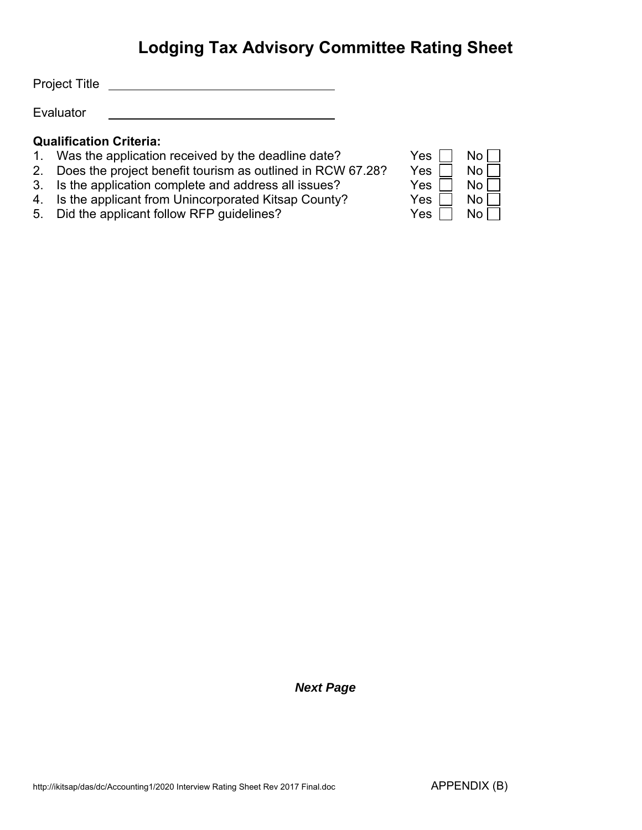# **Lodging Tax Advisory Committee Rating Sheet**

Project Title <u>San American State of the State of the State of the State of the State of the State of the State of the State of the State of the State of the State of the State of the State of the State of the State of the</u>

Evaluator

### **Qualification Criteria:**

- 1. Was the application received by the deadline date?
- 2. Does the project benefit tourism as outlined in RCW 67.28?
- 3. Is the application complete and address all issues?
- 4. Is the applicant from Unincorporated Kitsap County?
- 5. Did the applicant follow RFP guidelines?  $Yes \Box No \Box$

|     | No |
|-----|----|
| Yes |    |
| Yes | No |
| Yes | No |
| Yes | No |
| es  |    |

### *Next Page*